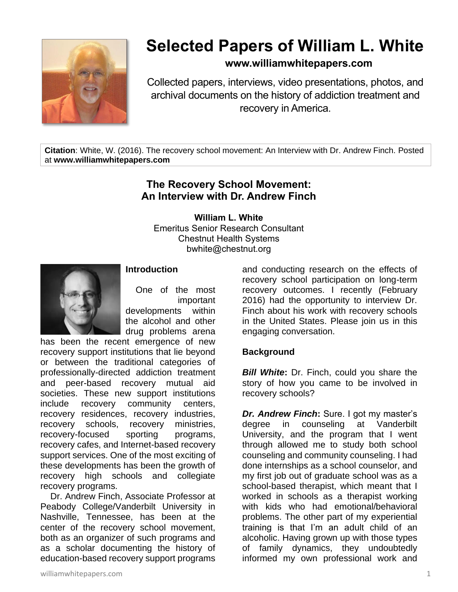

# **Selected Papers of William L. White**

## **www.williamwhitepapers.com**

Collected papers, interviews, video presentations, photos, and archival documents on the history of addiction treatment and recovery in America.

**Citation**: White, W. (2016). The recovery school movement: An Interview with Dr. Andrew Finch. Posted at **www.williamwhitepapers.com**

## **The Recovery School Movement: An Interview with Dr. Andrew Finch**

**William L. White** Emeritus Senior Research Consultant Chestnut Health Systems

bwhite@chestnut.org



#### **Introduction**

One of the most important developments within the alcohol and other drug problems arena

has been the recent emergence of new recovery support institutions that lie beyond or between the traditional categories of professionally-directed addiction treatment and peer-based recovery mutual aid societies. These new support institutions include recovery community centers, recovery residences, recovery industries, recovery schools, recovery ministries, recovery-focused sporting programs, recovery cafes, and Internet-based recovery support services. One of the most exciting of these developments has been the growth of recovery high schools and collegiate recovery programs.

 Dr. Andrew Finch, Associate Professor at Peabody College/Vanderbilt University in Nashville, Tennessee, has been at the center of the recovery school movement, both as an organizer of such programs and as a scholar documenting the history of education-based recovery support programs

and conducting research on the effects of recovery school participation on long-term recovery outcomes. I recently (February 2016) had the opportunity to interview Dr. Finch about his work with recovery schools in the United States. Please join us in this engaging conversation.

#### **Background**

*Bill White***:** Dr. Finch, could you share the story of how you came to be involved in recovery schools?

*Dr. Andrew Finch***:** Sure. I got my master's degree in counseling at Vanderbilt University, and the program that I went through allowed me to study both school counseling and community counseling. I had done internships as a school counselor, and my first job out of graduate school was as a school-based therapist, which meant that I worked in schools as a therapist working with kids who had emotional/behavioral problems. The other part of my experiential training is that I'm an adult child of an alcoholic. Having grown up with those types of family dynamics, they undoubtedly informed my own professional work and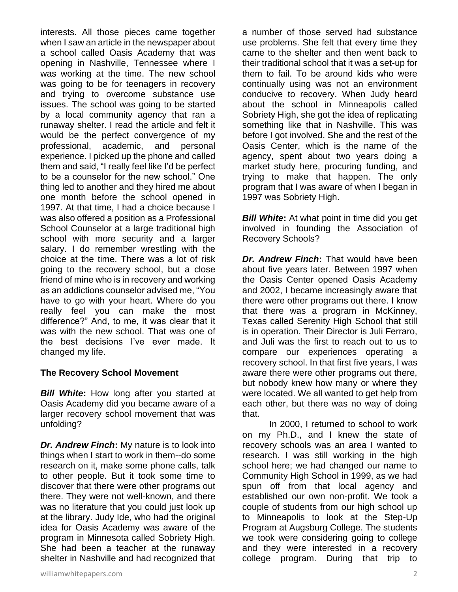interests. All those pieces came together when I saw an article in the newspaper about a school called Oasis Academy that was opening in Nashville, Tennessee where I was working at the time. The new school was going to be for teenagers in recovery and trying to overcome substance use issues. The school was going to be started by a local community agency that ran a runaway shelter. I read the article and felt it would be the perfect convergence of my professional, academic, and personal experience. I picked up the phone and called them and said, "I really feel like I'd be perfect to be a counselor for the new school." One thing led to another and they hired me about one month before the school opened in 1997. At that time, I had a choice because I was also offered a position as a Professional School Counselor at a large traditional high school with more security and a larger salary. I do remember wrestling with the choice at the time. There was a lot of risk going to the recovery school, but a close friend of mine who is in recovery and working as an addictions counselor advised me, "You have to go with your heart. Where do you really feel you can make the most difference?" And, to me, it was clear that it was with the new school. That was one of the best decisions I've ever made. It changed my life.

#### **The Recovery School Movement**

*Bill White***:** How long after you started at Oasis Academy did you became aware of a larger recovery school movement that was unfolding?

*Dr. Andrew Finch***:** My nature is to look into things when I start to work in them--do some research on it, make some phone calls, talk to other people. But it took some time to discover that there were other programs out there. They were not well-known, and there was no literature that you could just look up at the library. Judy Ide, who had the original idea for Oasis Academy was aware of the program in Minnesota called Sobriety High. She had been a teacher at the runaway shelter in Nashville and had recognized that a number of those served had substance use problems. She felt that every time they came to the shelter and then went back to their traditional school that it was a set-up for them to fail. To be around kids who were continually using was not an environment conducive to recovery. When Judy heard about the school in Minneapolis called Sobriety High, she got the idea of replicating something like that in Nashville. This was before I got involved. She and the rest of the Oasis Center, which is the name of the agency, spent about two years doing a market study here, procuring funding, and trying to make that happen. The only program that I was aware of when I began in 1997 was Sobriety High.

**Bill White:** At what point in time did you get involved in founding the Association of Recovery Schools?

*Dr. Andrew Finch***:** That would have been about five years later. Between 1997 when the Oasis Center opened Oasis Academy and 2002, I became increasingly aware that there were other programs out there. I know that there was a program in McKinney, Texas called Serenity High School that still is in operation. Their Director is Juli Ferraro, and Juli was the first to reach out to us to compare our experiences operating a recovery school. In that first five years, I was aware there were other programs out there, but nobody knew how many or where they were located. We all wanted to get help from each other, but there was no way of doing that.

In 2000, I returned to school to work on my Ph.D., and I knew the state of recovery schools was an area I wanted to research. I was still working in the high school here; we had changed our name to Community High School in 1999, as we had spun off from that local agency and established our own non-profit. We took a couple of students from our high school up to Minneapolis to look at the Step-Up Program at Augsburg College. The students we took were considering going to college and they were interested in a recovery college program. During that trip to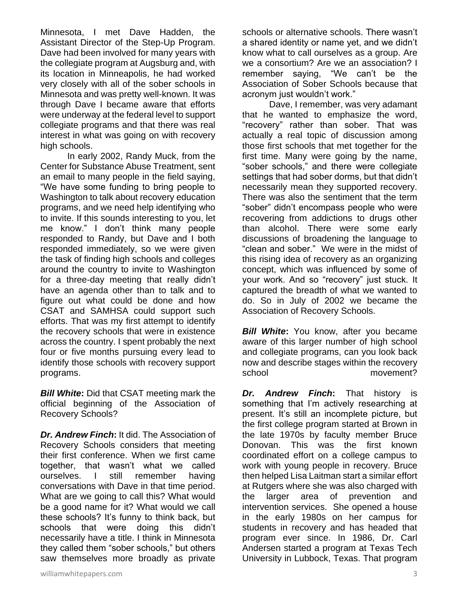Minnesota, I met Dave Hadden, the Assistant Director of the Step-Up Program. Dave had been involved for many years with the collegiate program at Augsburg and, with its location in Minneapolis, he had worked very closely with all of the sober schools in Minnesota and was pretty well-known. It was through Dave I became aware that efforts were underway at the federal level to support collegiate programs and that there was real interest in what was going on with recovery high schools.

In early 2002, Randy Muck, from the Center for Substance Abuse Treatment, sent an email to many people in the field saying, "We have some funding to bring people to Washington to talk about recovery education programs, and we need help identifying who to invite. If this sounds interesting to you, let me know." I don't think many people responded to Randy, but Dave and I both responded immediately, so we were given the task of finding high schools and colleges around the country to invite to Washington for a three-day meeting that really didn't have an agenda other than to talk and to figure out what could be done and how CSAT and SAMHSA could support such efforts. That was my first attempt to identify the recovery schools that were in existence across the country. I spent probably the next four or five months pursuing every lead to identify those schools with recovery support programs.

*Bill White***:** Did that CSAT meeting mark the official beginning of the Association of Recovery Schools?

*Dr. Andrew Finch***:** It did. The Association of Recovery Schools considers that meeting their first conference. When we first came together, that wasn't what we called ourselves. I still remember having conversations with Dave in that time period. What are we going to call this? What would be a good name for it? What would we call these schools? It's funny to think back, but schools that were doing this didn't necessarily have a title. I think in Minnesota they called them "sober schools," but others saw themselves more broadly as private

schools or alternative schools. There wasn't a shared identity or name yet, and we didn't know what to call ourselves as a group. Are we a consortium? Are we an association? I remember saying, "We can't be the Association of Sober Schools because that acronym just wouldn't work."

Dave, I remember, was very adamant that he wanted to emphasize the word, "recovery" rather than sober. That was actually a real topic of discussion among those first schools that met together for the first time. Many were going by the name, "sober schools," and there were collegiate settings that had sober dorms, but that didn't necessarily mean they supported recovery. There was also the sentiment that the term "sober" didn't encompass people who were recovering from addictions to drugs other than alcohol. There were some early discussions of broadening the language to "clean and sober." We were in the midst of this rising idea of recovery as an organizing concept, which was influenced by some of your work. And so "recovery" just stuck. It captured the breadth of what we wanted to do. So in July of 2002 we became the Association of Recovery Schools.

*Bill White***:** You know, after you became aware of this larger number of high school and collegiate programs, can you look back now and describe stages within the recovery school movement?

*Dr. Andrew Finch***:** That history is something that I'm actively researching at present. It's still an incomplete picture, but the first college program started at Brown in the late 1970s by faculty member Bruce Donovan. This was the first known coordinated effort on a college campus to work with young people in recovery. Bruce then helped Lisa Laitman start a similar effort at Rutgers where she was also charged with the larger area of prevention and intervention services. She opened a house in the early 1980s on her campus for students in recovery and has headed that program ever since. In 1986, Dr. Carl Andersen started a program at Texas Tech University in Lubbock, Texas. That program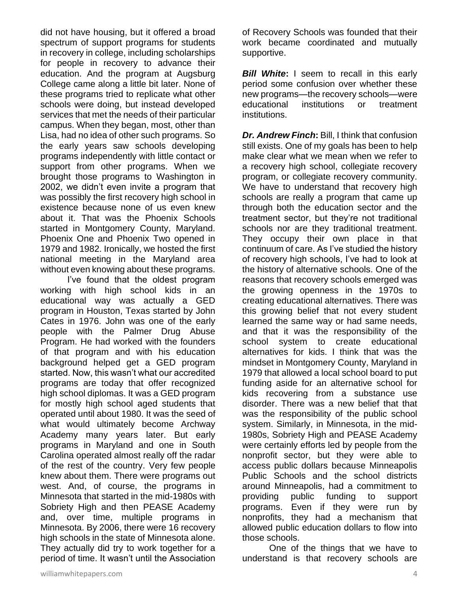did not have housing, but it offered a broad spectrum of support programs for students in recovery in college, including scholarships for people in recovery to advance their education. And the program at Augsburg College came along a little bit later. None of these programs tried to replicate what other schools were doing, but instead developed services that met the needs of their particular campus. When they began, most, other than Lisa, had no idea of other such programs. So the early years saw schools developing programs independently with little contact or support from other programs. When we brought those programs to Washington in 2002, we didn't even invite a program that was possibly the first recovery high school in existence because none of us even knew about it. That was the Phoenix Schools started in Montgomery County, Maryland. Phoenix One and Phoenix Two opened in 1979 and 1982. Ironically, we hosted the first national meeting in the Maryland area without even knowing about these programs.

I've found that the oldest program working with high school kids in an educational way was actually a GED program in Houston, Texas started by John Cates in 1976. John was one of the early people with the Palmer Drug Abuse Program. He had worked with the founders of that program and with his education background helped get a GED program started. Now, this wasn't what our accredited programs are today that offer recognized high school diplomas. It was a GED program for mostly high school aged students that operated until about 1980. It was the seed of what would ultimately become Archway Academy many years later. But early programs in Maryland and one in South Carolina operated almost really off the radar of the rest of the country. Very few people knew about them. There were programs out west. And, of course, the programs in Minnesota that started in the mid-1980s with Sobriety High and then PEASE Academy and, over time, multiple programs in Minnesota. By 2006, there were 16 recovery high schools in the state of Minnesota alone. They actually did try to work together for a period of time. It wasn't until the Association

of Recovery Schools was founded that their work became coordinated and mutually supportive.

**Bill White:** I seem to recall in this early period some confusion over whether these new programs—the recovery schools—were educational institutions or treatment institutions.

*Dr. Andrew Finch***:** Bill, I think that confusion still exists. One of my goals has been to help make clear what we mean when we refer to a recovery high school, collegiate recovery program, or collegiate recovery community. We have to understand that recovery high schools are really a program that came up through both the education sector and the treatment sector, but they're not traditional schools nor are they traditional treatment. They occupy their own place in that continuum of care. As I've studied the history of recovery high schools, I've had to look at the history of alternative schools. One of the reasons that recovery schools emerged was the growing openness in the 1970s to creating educational alternatives. There was this growing belief that not every student learned the same way or had same needs, and that it was the responsibility of the school system to create educational alternatives for kids. I think that was the mindset in Montgomery County, Maryland in 1979 that allowed a local school board to put funding aside for an alternative school for kids recovering from a substance use disorder. There was a new belief that that was the responsibility of the public school system. Similarly, in Minnesota, in the mid-1980s, Sobriety High and PEASE Academy were certainly efforts led by people from the nonprofit sector, but they were able to access public dollars because Minneapolis Public Schools and the school districts around Minneapolis, had a commitment to providing public funding to support programs. Even if they were run by nonprofits, they had a mechanism that allowed public education dollars to flow into those schools.

One of the things that we have to understand is that recovery schools are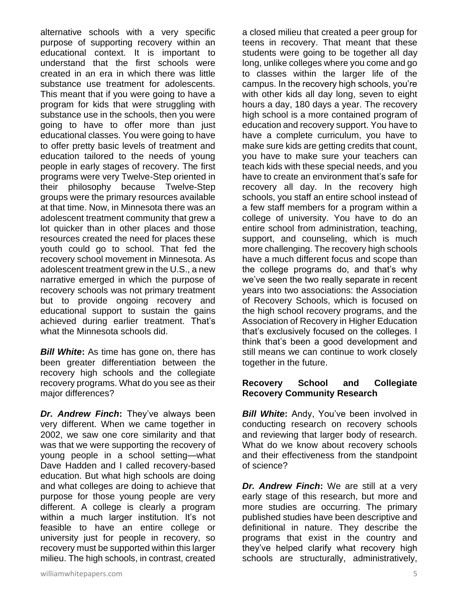alternative schools with a very specific purpose of supporting recovery within an educational context. It is important to understand that the first schools were created in an era in which there was little substance use treatment for adolescents. This meant that if you were going to have a program for kids that were struggling with substance use in the schools, then you were going to have to offer more than just educational classes. You were going to have to offer pretty basic levels of treatment and education tailored to the needs of young people in early stages of recovery. The first programs were very Twelve-Step oriented in their philosophy because Twelve-Step groups were the primary resources available at that time. Now, in Minnesota there was an adolescent treatment community that grew a lot quicker than in other places and those resources created the need for places these youth could go to school. That fed the recovery school movement in Minnesota. As adolescent treatment grew in the U.S., a new narrative emerged in which the purpose of recovery schools was not primary treatment but to provide ongoing recovery and educational support to sustain the gains achieved during earlier treatment. That's what the Minnesota schools did.

*Bill White***:** As time has gone on, there has been greater differentiation between the recovery high schools and the collegiate recovery programs. What do you see as their major differences?

*Dr. Andrew Finch***:** They've always been very different. When we came together in 2002, we saw one core similarity and that was that we were supporting the recovery of young people in a school setting—what Dave Hadden and I called recovery-based education. But what high schools are doing and what colleges are doing to achieve that purpose for those young people are very different. A college is clearly a program within a much larger institution. It's not feasible to have an entire college or university just for people in recovery, so recovery must be supported within this larger milieu. The high schools, in contrast, created a closed milieu that created a peer group for teens in recovery. That meant that these students were going to be together all day long, unlike colleges where you come and go to classes within the larger life of the campus. In the recovery high schools, you're with other kids all day long, seven to eight hours a day, 180 days a year. The recovery high school is a more contained program of education and recovery support. You have to have a complete curriculum, you have to make sure kids are getting credits that count, you have to make sure your teachers can teach kids with these special needs, and you have to create an environment that's safe for recovery all day. In the recovery high schools, you staff an entire school instead of a few staff members for a program within a college of university. You have to do an entire school from administration, teaching, support, and counseling, which is much more challenging. The recovery high schools have a much different focus and scope than the college programs do, and that's why we've seen the two really separate in recent years into two associations: the Association of Recovery Schools, which is focused on the high school recovery programs, and the Association of Recovery in Higher Education that's exclusively focused on the colleges. I think that's been a good development and still means we can continue to work closely together in the future.

#### **Recovery School and Collegiate Recovery Community Research**

*Bill White***:** Andy, You've been involved in conducting research on recovery schools and reviewing that larger body of research. What do we know about recovery schools and their effectiveness from the standpoint of science?

*Dr. Andrew Finch***:** We are still at a very early stage of this research, but more and more studies are occurring. The primary published studies have been descriptive and definitional in nature. They describe the programs that exist in the country and they've helped clarify what recovery high schools are structurally, administratively,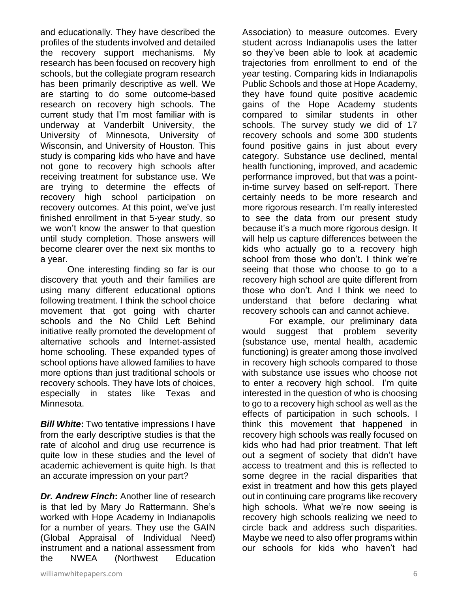and educationally. They have described the profiles of the students involved and detailed the recovery support mechanisms. My research has been focused on recovery high schools, but the collegiate program research has been primarily descriptive as well. We are starting to do some outcome-based research on recovery high schools. The current study that I'm most familiar with is underway at Vanderbilt University, the University of Minnesota, University of Wisconsin, and University of Houston. This study is comparing kids who have and have not gone to recovery high schools after receiving treatment for substance use. We are trying to determine the effects of recovery high school participation on recovery outcomes. At this point, we've just finished enrollment in that 5-year study, so we won't know the answer to that question until study completion. Those answers will become clearer over the next six months to a year.

One interesting finding so far is our discovery that youth and their families are using many different educational options following treatment. I think the school choice movement that got going with charter schools and the No Child Left Behind initiative really promoted the development of alternative schools and Internet-assisted home schooling. These expanded types of school options have allowed families to have more options than just traditional schools or recovery schools. They have lots of choices, especially in states like Texas and Minnesota.

*Bill White***:** Two tentative impressions I have from the early descriptive studies is that the rate of alcohol and drug use recurrence is quite low in these studies and the level of academic achievement is quite high. Is that an accurate impression on your part?

*Dr. Andrew Finch***:** Another line of research is that led by Mary Jo Rattermann. She's worked with Hope Academy in Indianapolis for a number of years. They use the GAIN (Global Appraisal of Individual Need) instrument and a national assessment from the NWEA (Northwest Education

Association) to measure outcomes. Every student across Indianapolis uses the latter so they've been able to look at academic trajectories from enrollment to end of the year testing. Comparing kids in Indianapolis Public Schools and those at Hope Academy, they have found quite positive academic gains of the Hope Academy students compared to similar students in other schools. The survey study we did of 17 recovery schools and some 300 students found positive gains in just about every category. Substance use declined, mental health functioning, improved, and academic performance improved, but that was a pointin-time survey based on self-report. There certainly needs to be more research and more rigorous research. I'm really interested to see the data from our present study because it's a much more rigorous design. It will help us capture differences between the kids who actually go to a recovery high school from those who don't. I think we're seeing that those who choose to go to a recovery high school are quite different from those who don't. And I think we need to understand that before declaring what recovery schools can and cannot achieve.

For example, our preliminary data would suggest that problem severity (substance use, mental health, academic functioning) is greater among those involved in recovery high schools compared to those with substance use issues who choose not to enter a recovery high school. I'm quite interested in the question of who is choosing to go to a recovery high school as well as the effects of participation in such schools. I think this movement that happened in recovery high schools was really focused on kids who had had prior treatment. That left out a segment of society that didn't have access to treatment and this is reflected to some degree in the racial disparities that exist in treatment and how this gets played out in continuing care programs like recovery high schools. What we're now seeing is recovery high schools realizing we need to circle back and address such disparities. Maybe we need to also offer programs within our schools for kids who haven't had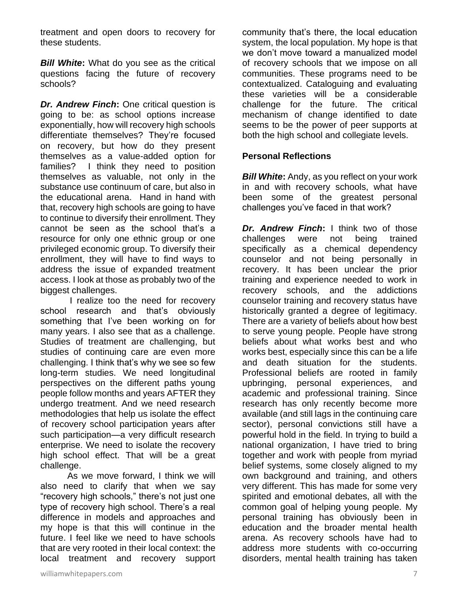treatment and open doors to recovery for these students.

*Bill White***:** What do you see as the critical questions facing the future of recovery schools?

*Dr. Andrew Finch***:** One critical question is going to be: as school options increase exponentially, how will recovery high schools differentiate themselves? They're focused on recovery, but how do they present themselves as a value-added option for families? I think they need to position themselves as valuable, not only in the substance use continuum of care, but also in the educational arena. Hand in hand with that, recovery high schools are going to have to continue to diversify their enrollment. They cannot be seen as the school that's a resource for only one ethnic group or one privileged economic group. To diversify their enrollment, they will have to find ways to address the issue of expanded treatment access. I look at those as probably two of the biggest challenges.

I realize too the need for recovery school research and that's obviously something that I've been working on for many years. I also see that as a challenge. Studies of treatment are challenging, but studies of continuing care are even more challenging. I think that's why we see so few long-term studies. We need longitudinal perspectives on the different paths young people follow months and years AFTER they undergo treatment. And we need research methodologies that help us isolate the effect of recovery school participation years after such participation—a very difficult research enterprise. We need to isolate the recovery high school effect. That will be a great challenge.

As we move forward, I think we will also need to clarify that when we say "recovery high schools," there's not just one type of recovery high school. There's a real difference in models and approaches and my hope is that this will continue in the future. I feel like we need to have schools that are very rooted in their local context: the local treatment and recovery support community that's there, the local education system, the local population. My hope is that we don't move toward a manualized model of recovery schools that we impose on all communities. These programs need to be contextualized. Cataloguing and evaluating these varieties will be a considerable challenge for the future. The critical mechanism of change identified to date seems to be the power of peer supports at both the high school and collegiate levels.

#### **Personal Reflections**

*Bill White:* Andy, as you reflect on your work in and with recovery schools, what have been some of the greatest personal challenges you've faced in that work?

*Dr. Andrew Finch***:** I think two of those challenges were not being trained specifically as a chemical dependency counselor and not being personally in recovery. It has been unclear the prior training and experience needed to work in recovery schools, and the addictions counselor training and recovery status have historically granted a degree of legitimacy. There are a variety of beliefs about how best to serve young people. People have strong beliefs about what works best and who works best, especially since this can be a life and death situation for the students. Professional beliefs are rooted in family upbringing, personal experiences, and academic and professional training. Since research has only recently become more available (and still lags in the continuing care sector), personal convictions still have a powerful hold in the field. In trying to build a national organization, I have tried to bring together and work with people from myriad belief systems, some closely aligned to my own background and training, and others very different. This has made for some very spirited and emotional debates, all with the common goal of helping young people. My personal training has obviously been in education and the broader mental health arena. As recovery schools have had to address more students with co-occurring disorders, mental health training has taken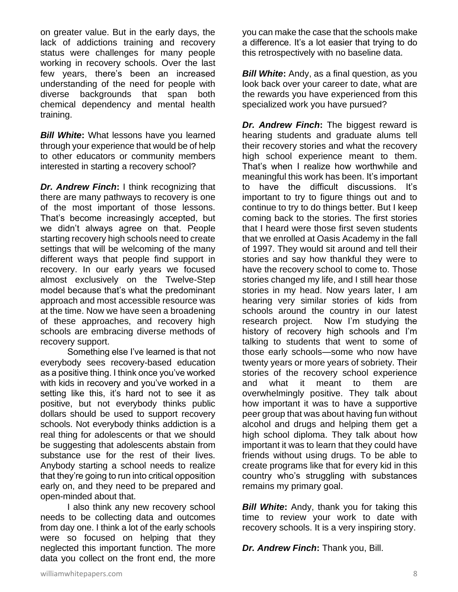on greater value. But in the early days, the lack of addictions training and recovery status were challenges for many people working in recovery schools. Over the last few years, there's been an increased understanding of the need for people with diverse backgrounds that span both chemical dependency and mental health training.

*Bill White***:** What lessons have you learned through your experience that would be of help to other educators or community members interested in starting a recovery school?

*Dr. Andrew Finch***:** I think recognizing that there are many pathways to recovery is one of the most important of those lessons. That's become increasingly accepted, but we didn't always agree on that. People starting recovery high schools need to create settings that will be welcoming of the many different ways that people find support in recovery. In our early years we focused almost exclusively on the Twelve-Step model because that's what the predominant approach and most accessible resource was at the time. Now we have seen a broadening of these approaches, and recovery high schools are embracing diverse methods of recovery support.

Something else I've learned is that not everybody sees recovery-based education as a positive thing. I think once you've worked with kids in recovery and you've worked in a setting like this, it's hard not to see it as positive, but not everybody thinks public dollars should be used to support recovery schools. Not everybody thinks addiction is a real thing for adolescents or that we should be suggesting that adolescents abstain from substance use for the rest of their lives. Anybody starting a school needs to realize that they're going to run into critical opposition early on, and they need to be prepared and open-minded about that.

I also think any new recovery school needs to be collecting data and outcomes from day one. I think a lot of the early schools were so focused on helping that they neglected this important function. The more data you collect on the front end, the more

you can make the case that the schools make a difference. It's a lot easier that trying to do this retrospectively with no baseline data.

*Bill White***:** Andy, as a final question, as you look back over your career to date, what are the rewards you have experienced from this specialized work you have pursued?

*Dr. Andrew Finch***:** The biggest reward is hearing students and graduate alums tell their recovery stories and what the recovery high school experience meant to them. That's when I realize how worthwhile and meaningful this work has been. It's important to have the difficult discussions. It's important to try to figure things out and to continue to try to do things better. But I keep coming back to the stories. The first stories that I heard were those first seven students that we enrolled at Oasis Academy in the fall of 1997. They would sit around and tell their stories and say how thankful they were to have the recovery school to come to. Those stories changed my life, and I still hear those stories in my head. Now years later, I am hearing very similar stories of kids from schools around the country in our latest research project. Now I'm studying the history of recovery high schools and I'm talking to students that went to some of those early schools—some who now have twenty years or more years of sobriety. Their stories of the recovery school experience and what it meant to them are overwhelmingly positive. They talk about how important it was to have a supportive peer group that was about having fun without alcohol and drugs and helping them get a high school diploma. They talk about how important it was to learn that they could have friends without using drugs. To be able to create programs like that for every kid in this country who's struggling with substances remains my primary goal.

**Bill White:** Andy, thank you for taking this time to review your work to date with recovery schools. It is a very inspiring story.

*Dr. Andrew Finch***:** Thank you, Bill.